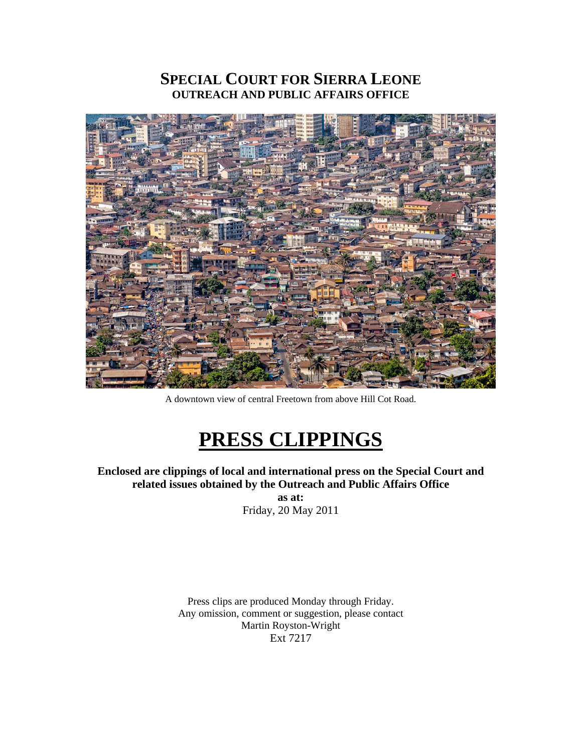### **SPECIAL COURT FOR SIERRA LEONE OUTREACH AND PUBLIC AFFAIRS OFFICE**



A downtown view of central Freetown from above Hill Cot Road.

# **PRESS CLIPPINGS**

**Enclosed are clippings of local and international press on the Special Court and related issues obtained by the Outreach and Public Affairs Office** 

**as at:**  Friday, 20 May 2011

Press clips are produced Monday through Friday. Any omission, comment or suggestion, please contact Martin Royston-Wright Ext 7217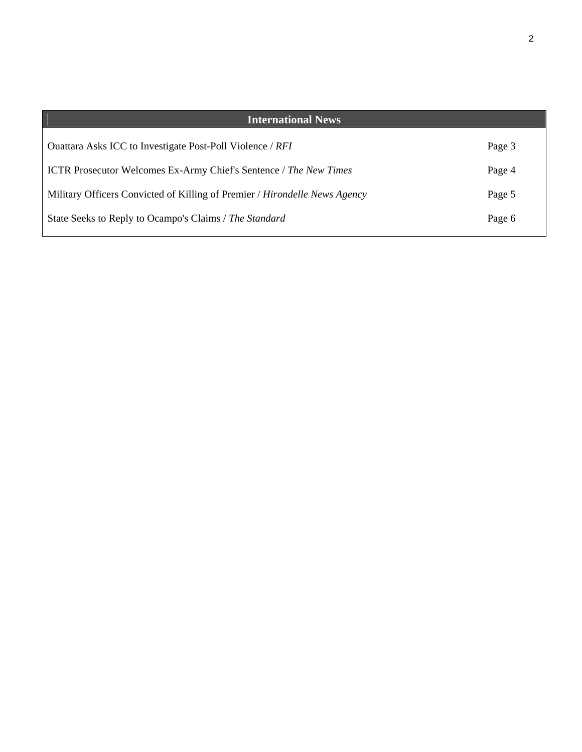| <b>International News</b>                                                  |        |
|----------------------------------------------------------------------------|--------|
| Ouattara Asks ICC to Investigate Post-Poll Violence / RFI                  | Page 3 |
| <b>ICTR</b> Prosecutor Welcomes Ex-Army Chief's Sentence / The New Times   | Page 4 |
| Military Officers Convicted of Killing of Premier / Hirondelle News Agency | Page 5 |
| State Seeks to Reply to Ocampo's Claims / The Standard                     | Page 6 |
|                                                                            |        |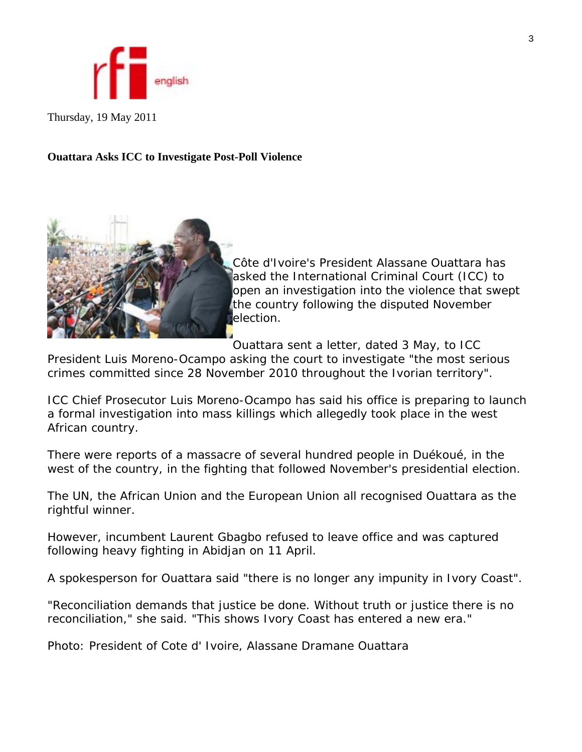

Thursday, 19 May 2011

#### **Ouattara Asks ICC to Investigate Post-Poll Violence**



Côte d'Ivoire's President Alassane Ouattara has asked the International Criminal Court (ICC) to open an investigation into the violence that swept the country following the disputed November **Delection.** 

Ouattara sent a letter, dated 3 May, to ICC

President Luis Moreno-Ocampo asking the court to investigate "the most serious crimes committed since 28 November 2010 throughout the Ivorian territory".

ICC Chief Prosecutor Luis Moreno-Ocampo has said his office is preparing to launch a formal investigation into mass killings which allegedly took place in the west African country.

There were reports of a massacre of several hundred people in Duékoué, in the west of the country, in the fighting that followed November's presidential election.

The UN, the African Union and the European Union all recognised Ouattara as the rightful winner.

However, incumbent Laurent Gbagbo refused to leave office and was captured following heavy fighting in Abidjan on 11 April.

A spokesperson for Ouattara said "there is no longer any impunity in Ivory Coast".

"Reconciliation demands that justice be done. Without truth or justice there is no reconciliation," she said. "This shows Ivory Coast has entered a new era."

Photo: President of Cote d' Ivoire, Alassane Dramane Ouattara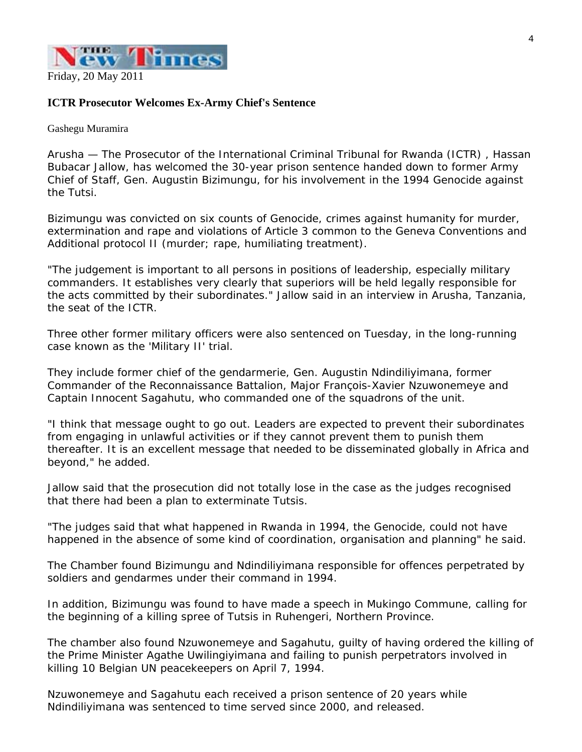

#### **ICTR Prosecutor Welcomes Ex-Army Chief's Sentence**

Gashegu Muramira

Arusha — The Prosecutor of the International Criminal Tribunal for Rwanda (ICTR) , Hassan Bubacar Jallow, has welcomed the 30-year prison sentence handed down to former Army Chief of Staff, Gen. Augustin Bizimungu, for his involvement in the 1994 Genocide against the Tutsi.

Bizimungu was convicted on six counts of Genocide, crimes against humanity for murder, extermination and rape and violations of Article 3 common to the Geneva Conventions and Additional protocol II (murder; rape, humiliating treatment).

"The judgement is important to all persons in positions of leadership, especially military commanders. It establishes very clearly that superiors will be held legally responsible for the acts committed by their subordinates." Jallow said in an interview in Arusha, Tanzania, the seat of the ICTR.

Three other former military officers were also sentenced on Tuesday, in the long-running case known as the 'Military II' trial.

They include former chief of the gendarmerie, Gen. Augustin Ndindiliyimana, former Commander of the Reconnaissance Battalion, Major François-Xavier Nzuwonemeye and Captain Innocent Sagahutu, who commanded one of the squadrons of the unit.

"I think that message ought to go out. Leaders are expected to prevent their subordinates from engaging in unlawful activities or if they cannot prevent them to punish them thereafter. It is an excellent message that needed to be disseminated globally in Africa and beyond," he added.

Jallow said that the prosecution did not totally lose in the case as the judges recognised that there had been a plan to exterminate Tutsis.

"The judges said that what happened in Rwanda in 1994, the Genocide, could not have happened in the absence of some kind of coordination, organisation and planning" he said.

The Chamber found Bizimungu and Ndindiliyimana responsible for offences perpetrated by soldiers and gendarmes under their command in 1994.

In addition, Bizimungu was found to have made a speech in Mukingo Commune, calling for the beginning of a killing spree of Tutsis in Ruhengeri, Northern Province.

The chamber also found Nzuwonemeye and Sagahutu, guilty of having ordered the killing of the Prime Minister Agathe Uwilingiyimana and failing to punish perpetrators involved in killing 10 Belgian UN peacekeepers on April 7, 1994.

Nzuwonemeye and Sagahutu each received a prison sentence of 20 years while Ndindiliyimana was sentenced to time served since 2000, and released.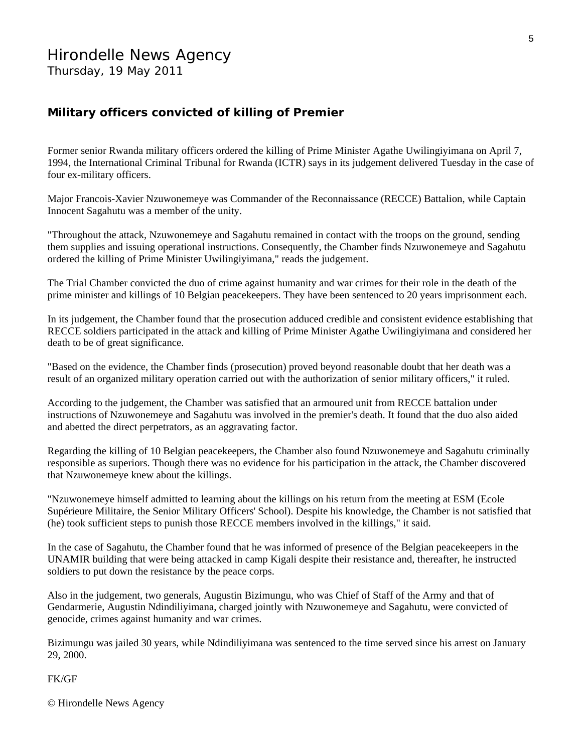#### **Military officers convicted of killing of Premier**

Former senior Rwanda military officers ordered the killing of Prime Minister Agathe Uwilingiyimana on April 7, 1994, the International Criminal Tribunal for Rwanda (ICTR) says in its judgement delivered Tuesday in the case of four ex-military officers.

Major Francois-Xavier Nzuwonemeye was Commander of the Reconnaissance (RECCE) Battalion, while Captain Innocent Sagahutu was a member of the unity.

"Throughout the attack, Nzuwonemeye and Sagahutu remained in contact with the troops on the ground, sending them supplies and issuing operational instructions. Consequently, the Chamber finds Nzuwonemeye and Sagahutu ordered the killing of Prime Minister Uwilingiyimana," reads the judgement.

The Trial Chamber convicted the duo of crime against humanity and war crimes for their role in the death of the prime minister and killings of 10 Belgian peacekeepers. They have been sentenced to 20 years imprisonment each.

In its judgement, the Chamber found that the prosecution adduced credible and consistent evidence establishing that RECCE soldiers participated in the attack and killing of Prime Minister Agathe Uwilingiyimana and considered her death to be of great significance.

"Based on the evidence, the Chamber finds (prosecution) proved beyond reasonable doubt that her death was a result of an organized military operation carried out with the authorization of senior military officers," it ruled.

According to the judgement, the Chamber was satisfied that an armoured unit from RECCE battalion under instructions of Nzuwonemeye and Sagahutu was involved in the premier's death. It found that the duo also aided and abetted the direct perpetrators, as an aggravating factor.

Regarding the killing of 10 Belgian peacekeepers, the Chamber also found Nzuwonemeye and Sagahutu criminally responsible as superiors. Though there was no evidence for his participation in the attack, the Chamber discovered that Nzuwonemeye knew about the killings.

"Nzuwonemeye himself admitted to learning about the killings on his return from the meeting at ESM (Ecole Supérieure Militaire, the Senior Military Officers' School). Despite his knowledge, the Chamber is not satisfied that (he) took sufficient steps to punish those RECCE members involved in the killings," it said.

In the case of Sagahutu, the Chamber found that he was informed of presence of the Belgian peacekeepers in the UNAMIR building that were being attacked in camp Kigali despite their resistance and, thereafter, he instructed soldiers to put down the resistance by the peace corps.

Also in the judgement, two generals, Augustin Bizimungu, who was Chief of Staff of the Army and that of Gendarmerie, Augustin Ndindiliyimana, charged jointly with Nzuwonemeye and Sagahutu, were convicted of genocide, crimes against humanity and war crimes.

Bizimungu was jailed 30 years, while Ndindiliyimana was sentenced to the time served since his arrest on January 29, 2000.

FK/GF

© Hirondelle News Agency